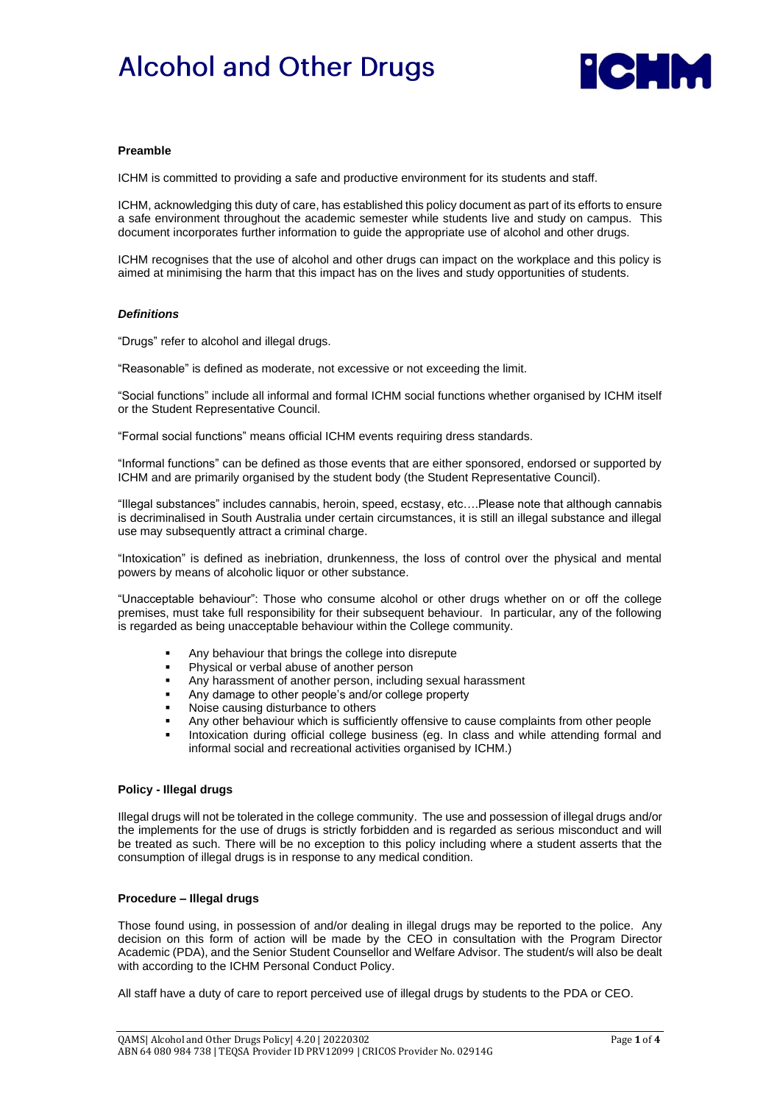# **Alcohol and Other Drugs**



#### **Preamble**

ICHM is committed to providing a safe and productive environment for its students and staff.

ICHM, acknowledging this duty of care, has established this policy document as part of its efforts to ensure a safe environment throughout the academic semester while students live and study on campus. This document incorporates further information to guide the appropriate use of alcohol and other drugs.

ICHM recognises that the use of alcohol and other drugs can impact on the workplace and this policy is aimed at minimising the harm that this impact has on the lives and study opportunities of students.

#### *Definitions*

"Drugs" refer to alcohol and illegal drugs.

"Reasonable" is defined as moderate, not excessive or not exceeding the limit.

"Social functions" include all informal and formal ICHM social functions whether organised by ICHM itself or the Student Representative Council.

"Formal social functions" means official ICHM events requiring dress standards.

"Informal functions" can be defined as those events that are either sponsored, endorsed or supported by ICHM and are primarily organised by the student body (the Student Representative Council).

"Illegal substances" includes cannabis, heroin, speed, ecstasy, etc….Please note that although cannabis is decriminalised in South Australia under certain circumstances, it is still an illegal substance and illegal use may subsequently attract a criminal charge.

"Intoxication" is defined as inebriation, drunkenness, the loss of control over the physical and mental powers by means of alcoholic liquor or other substance.

"Unacceptable behaviour": Those who consume alcohol or other drugs whether on or off the college premises, must take full responsibility for their subsequent behaviour. In particular, any of the following is regarded as being unacceptable behaviour within the College community.

- Any behaviour that brings the college into disrepute
- Physical or verbal abuse of another person
- Any harassment of another person, including sexual harassment
- Any damage to other people's and/or college property
- Noise causing disturbance to others
- Any other behaviour which is sufficiently offensive to cause complaints from other people
- Intoxication during official college business (eg. In class and while attending formal and informal social and recreational activities organised by ICHM.)

#### **Policy - Illegal drugs**

Illegal drugs will not be tolerated in the college community. The use and possession of illegal drugs and/or the implements for the use of drugs is strictly forbidden and is regarded as serious misconduct and will be treated as such. There will be no exception to this policy including where a student asserts that the consumption of illegal drugs is in response to any medical condition.

#### **Procedure – Illegal drugs**

Those found using, in possession of and/or dealing in illegal drugs may be reported to the police. Any decision on this form of action will be made by the CEO in consultation with the Program Director Academic (PDA), and the Senior Student Counsellor and Welfare Advisor. The student/s will also be dealt with according to the ICHM Personal Conduct Policy.

All staff have a duty of care to report perceived use of illegal drugs by students to the PDA or CEO.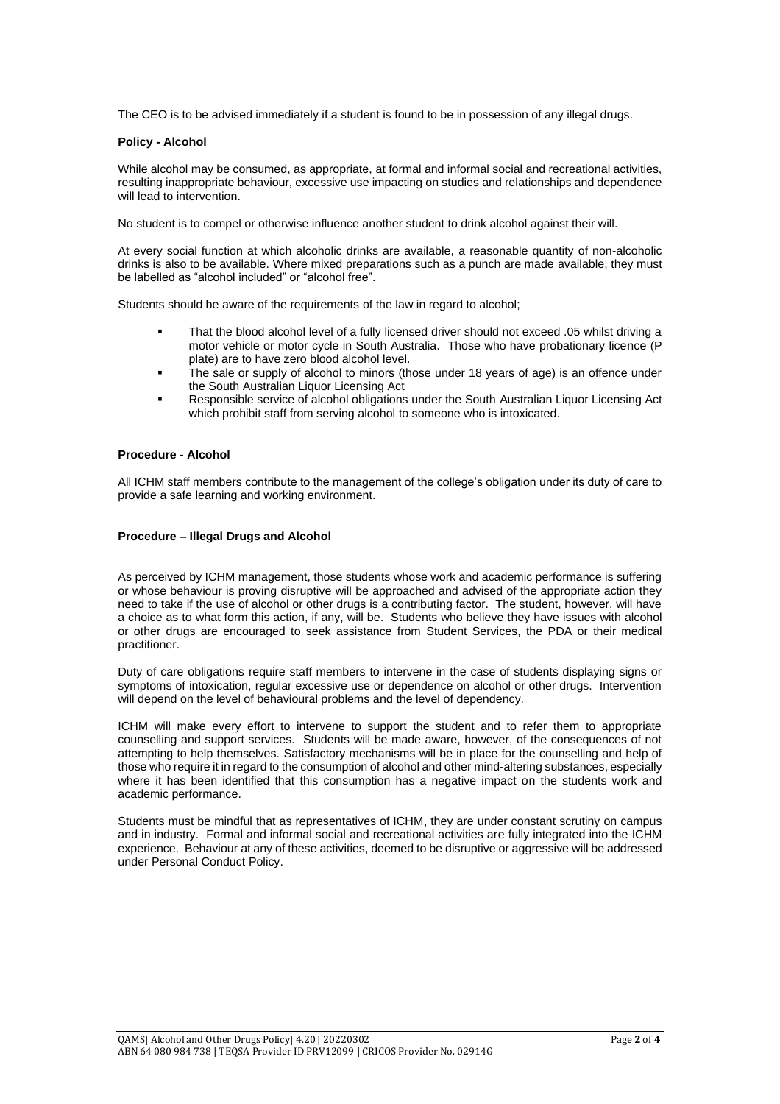The CEO is to be advised immediately if a student is found to be in possession of any illegal drugs.

#### **Policy - Alcohol**

While alcohol may be consumed, as appropriate, at formal and informal social and recreational activities, resulting inappropriate behaviour, excessive use impacting on studies and relationships and dependence will lead to intervention.

No student is to compel or otherwise influence another student to drink alcohol against their will.

At every social function at which alcoholic drinks are available, a reasonable quantity of non-alcoholic drinks is also to be available. Where mixed preparations such as a punch are made available, they must be labelled as "alcohol included" or "alcohol free".

Students should be aware of the requirements of the law in regard to alcohol;

- That the blood alcohol level of a fully licensed driver should not exceed .05 whilst driving a motor vehicle or motor cycle in South Australia. Those who have probationary licence (P plate) are to have zero blood alcohol level.
- The sale or supply of alcohol to minors (those under 18 years of age) is an offence under the South Australian Liquor Licensing Act
- Responsible service of alcohol obligations under the South Australian Liquor Licensing Act which prohibit staff from serving alcohol to someone who is intoxicated.

### **Procedure - Alcohol**

All ICHM staff members contribute to the management of the college's obligation under its duty of care to provide a safe learning and working environment.

#### **Procedure – Illegal Drugs and Alcohol**

As perceived by ICHM management, those students whose work and academic performance is suffering or whose behaviour is proving disruptive will be approached and advised of the appropriate action they need to take if the use of alcohol or other drugs is a contributing factor. The student, however, will have a choice as to what form this action, if any, will be. Students who believe they have issues with alcohol or other drugs are encouraged to seek assistance from Student Services, the PDA or their medical practitioner.

Duty of care obligations require staff members to intervene in the case of students displaying signs or symptoms of intoxication, regular excessive use or dependence on alcohol or other drugs. Intervention will depend on the level of behavioural problems and the level of dependency.

ICHM will make every effort to intervene to support the student and to refer them to appropriate counselling and support services. Students will be made aware, however, of the consequences of not attempting to help themselves. Satisfactory mechanisms will be in place for the counselling and help of those who require it in regard to the consumption of alcohol and other mind-altering substances, especially where it has been identified that this consumption has a negative impact on the students work and academic performance.

Students must be mindful that as representatives of ICHM, they are under constant scrutiny on campus and in industry. Formal and informal social and recreational activities are fully integrated into the ICHM experience. Behaviour at any of these activities, deemed to be disruptive or aggressive will be addressed under Personal Conduct Policy.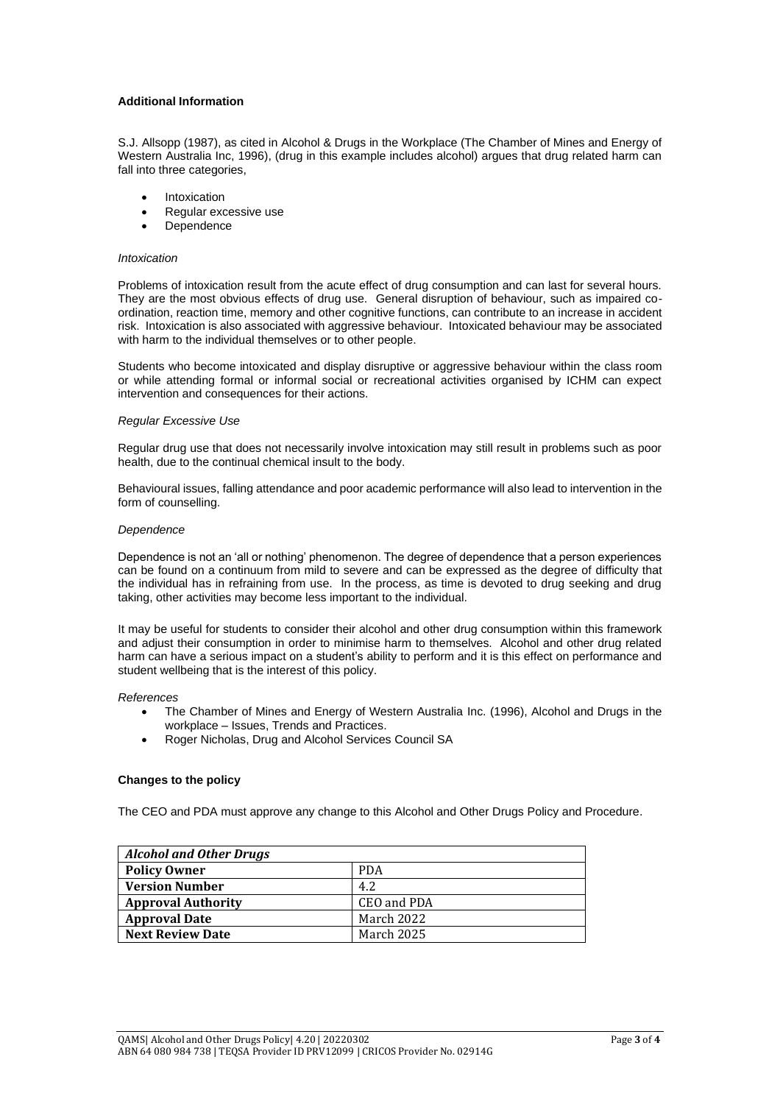#### **Additional Information**

S.J. Allsopp (1987), as cited in Alcohol & Drugs in the Workplace (The Chamber of Mines and Energy of Western Australia Inc, 1996), (drug in this example includes alcohol) argues that drug related harm can fall into three categories,

- **Intoxication**
- Regular excessive use
- **Dependence**

#### *Intoxication*

Problems of intoxication result from the acute effect of drug consumption and can last for several hours. They are the most obvious effects of drug use. General disruption of behaviour, such as impaired coordination, reaction time, memory and other cognitive functions, can contribute to an increase in accident risk. Intoxication is also associated with aggressive behaviour. Intoxicated behaviour may be associated with harm to the individual themselves or to other people.

Students who become intoxicated and display disruptive or aggressive behaviour within the class room or while attending formal or informal social or recreational activities organised by ICHM can expect intervention and consequences for their actions.

#### *Regular Excessive Use*

Regular drug use that does not necessarily involve intoxication may still result in problems such as poor health, due to the continual chemical insult to the body.

Behavioural issues, falling attendance and poor academic performance will also lead to intervention in the form of counselling.

#### *Dependence*

Dependence is not an 'all or nothing' phenomenon. The degree of dependence that a person experiences can be found on a continuum from mild to severe and can be expressed as the degree of difficulty that the individual has in refraining from use. In the process, as time is devoted to drug seeking and drug taking, other activities may become less important to the individual.

It may be useful for students to consider their alcohol and other drug consumption within this framework and adjust their consumption in order to minimise harm to themselves. Alcohol and other drug related harm can have a serious impact on a student's ability to perform and it is this effect on performance and student wellbeing that is the interest of this policy.

*References*

- The Chamber of Mines and Energy of Western Australia Inc. (1996), Alcohol and Drugs in the workplace – Issues, Trends and Practices.
- Roger Nicholas, Drug and Alcohol Services Council SA

#### **Changes to the policy**

The CEO and PDA must approve any change to this Alcohol and Other Drugs Policy and Procedure.

| <b>Alcohol and Other Drugs</b> |             |  |
|--------------------------------|-------------|--|
| <b>Policy Owner</b>            | <b>PDA</b>  |  |
| <b>Version Number</b>          | 4.2         |  |
| <b>Approval Authority</b>      | CEO and PDA |  |
| <b>Approval Date</b>           | March 2022  |  |
| <b>Next Review Date</b>        | March 2025  |  |